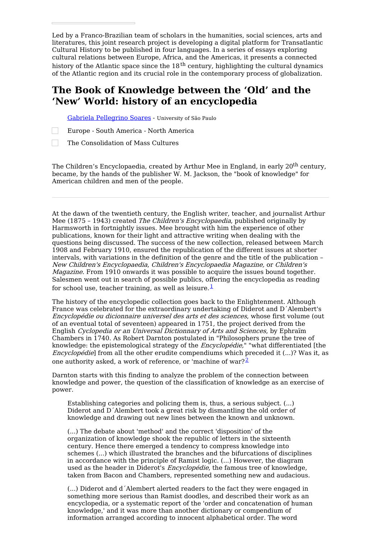Led by a Franco-Brazilian team of scholars in the humanities, social sciences, arts and literatures, this joint research project is developing a digital platform for Transatlantic Cultural History to be published in four languages. In a series of essays exploring cultural relations between Europe, Africa, and the Americas, it presents a connected history of the Atlantic space since the 18<sup>th</sup> century, highlighting the cultural dynamics of the Atlantic region and its crucial role in the contemporary process of globalization.

# **The Book of Knowledge between the 'Old' and the 'New' World: history of an encyclopedia**

Gabriela [Pellegrino](https://transatlantic-cultures.org/en/author/pellegrino-soares) Soares - University of São Paulo

Europe - South America - North America

 $\Box$ The Consolidation of Mass Cultures

The Children's Encyclopaedia, created by Arthur Mee in England, in early 20<sup>th</sup> century, became, by the hands of the publisher W. M. Jackson, the "book of knowledge" for American children and men of the people.

At the dawn of the twentieth century, the English writer, teacher, and journalist Arthur Mee (1875 - 1943) created The Children's Encyclopaedia, published originally by Harmsworth in fortnightly issues. Mee brought with him the experience of other publications, known for their light and attractive writing when dealing with the questions being discussed. The success of the new collection, released between March 1908 and February 1910, ensured the republication of the different issues at shorter intervals, with variations in the definition of the genre and the title of the publication – New Children's Encyclopaedia, Children's Encyclopaedia Magazine, or Children's Magazine. From 1910 onwards it was possible to acquire the issues bound together. Salesmen went out in search of possible publics, offering the encyclopedia as reading for school use, teacher training, as well as leisure. $\frac{1}{1}$  $\frac{1}{1}$  $\frac{1}{1}$ 

The history of the encyclopedic collection goes back to the Enlightenment. Although France was celebrated for the extraordinary undertaking of Diderot and D´Alembert's Encyclopédie ou dicionnaire universel des arts et des sciences, whose first volume (out of an eventual total of seventeen) appeared in 1751, the project derived from the English Cyclopedia or an Universal Dictionnary of Arts and Sciences, by Ephraïm Chambers in 1740. As Robert Darnton postulated in "Philosophers prune the tree of knowledge: the epistemological strategy of the *Encyclopédie*," "what differentiated [the Encyclopédie] from all the other erudite compendiums which preceded it (...)? Was it, as one authority asked, a work of reference, or 'machine of war? $^2$  $^2$ 

Darnton starts with this finding to analyze the problem of the connection between knowledge and power, the question of the classification of knowledge as an exercise of power.

Establishing categories and policing them is, thus, a serious subject. (...) Diderot and D´Alembert took a great risk by dismantling the old order of knowledge and drawing out new lines between the known and unknown.

(...) The debate about 'method' and the correct 'disposition' of the organization of knowledge shook the republic of letters in the sixteenth century. Hence there emerged a tendency to compress knowledge into schemes (...) which illustrated the branches and the bifurcations of disciplines in accordance with the principle of Ramist logic. (...) However, the diagram used as the header in Diderot's *Encyclopédie*, the famous tree of knowledge, taken from Bacon and Chambers, represented something new and audacious.

(...) Diderot and d´Alembert alerted readers to the fact they were engaged in something more serious than Ramist doodles, and described their work as an encyclopedia, or a systematic report of the 'order and concatenation of human knowledge,' and it was more than another dictionary or compendium of information arranged according to innocent alphabetical order. The word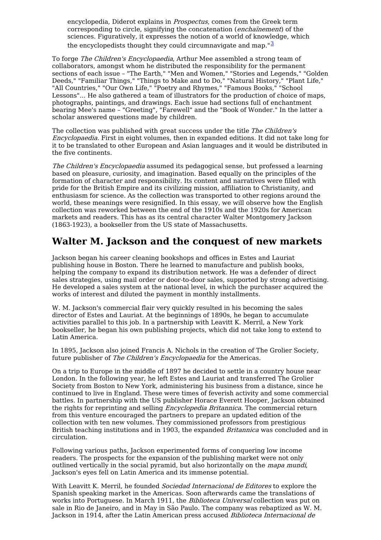encyclopedia, Diderot explains in Prospectus, comes from the Greek term corresponding to circle, signifying the concatenation (enchaïnement) of the sciences. Figuratively, it expresses the notion of a world of knowledge, which the encyclopedists thought they could circumnavigate and map." $\frac{3}{2}$  $\frac{3}{2}$  $\frac{3}{2}$ 

To forge The Children's Encyclopaedia, Arthur Mee assembled a strong team of collaborators, amongst whom he distributed the responsibility for the permanent sections of each issue – "The Earth," "Men and Women," "Stories and Legends," "Golden Deeds," "Familiar Things," "Things to Make and to Do," "Natural History," "Plant Life," "All Countries," "Our Own Life," "Poetry and Rhymes," "Famous Books," "School Lessons"... He also gathered a team of illustrators for the production of choice of maps, photographs, paintings, and drawings. Each issue had sections full of enchantment bearing Mee's name – "Greeting", "Farewell" and the "Book of Wonder." In the latter a scholar answered questions made by children.

The collection was published with great success under the title The Children's Encyclopaedia. First in eight volumes, then in expanded editions. It did not take long for it to be translated to other European and Asian languages and it would be distributed in the five continents.

The Children's Encyclopaedia assumed its pedagogical sense, but professed a learning based on pleasure, curiosity, and imagination. Based equally on the principles of the formation of character and responsibility. Its content and narratives were filled with pride for the British Empire and its civilizing mission, affiliation to Christianity, and enthusiasm for science. As the collection was transported to other regions around the world, these meanings were resignified. In this essay, we will observe how the English collection was reworked between the end of the 1910s and the 1920s for American markets and readers. This has as its central character Walter Montgomery Jackson (1863-1923), a bookseller from the US state of Massachusetts.

# **Walter M. Jackson and the conquest of new markets**

Jackson began his career cleaning bookshops and offices in Estes and Lauriat publishing house in Boston. There he learned to manufacture and publish books, helping the company to expand its distribution network. He was a defender of direct sales strategies, using mail order or door-to-door sales, supported by strong advertising. He developed a sales system at the national level, in which the purchaser acquired the works of interest and diluted the payment in monthly installments.

W. M. Jackson's commercial flair very quickly resulted in his becoming the sales director of Estes and Lauriat. At the beginnings of 1890s, he began to accumulate activities parallel to this job. In a partnership with Leavitt K. Merril, a New York bookseller, he began his own publishing projects, which did not take long to extend to Latin America.

In 1895, Jackson also joined Francis A. Nichols in the creation of The Grolier Society, future publisher of The Children's Encyclopaedia for the Americas.

On a trip to Europe in the middle of 1897 he decided to settle in a country house near London. In the following year, he left Estes and Lauriat and transferred The Grolier Society from Boston to New York, administering his business from a distance, since he continued to live in England. These were times of feverish activity and some commercial battles. In partnership with the US publisher Horace Everett Hooper, Jackson obtained the rights for reprinting and selling *Encyclopedia Britannica*. The commercial return from this venture encouraged the partners to prepare an updated edition of the collection with ten new volumes. They commissioned professors from prestigious British teaching institutions and in 1903, the expanded *Britannica* was concluded and in circulation.

Following various paths, Jackson experimented forms of conquering low income readers. The prospects for the expansion of the publishing market were not only outlined vertically in the social pyramid, but also horizontally on the mapa mundi, Jackson's eyes fell on Latin America and its immense potential.

With Leavitt K. Merril, he founded Sociedad Internacional de Editores to explore the Spanish speaking market in the Americas. Soon afterwards came the translations of works into Portuguese. In March 1911, the Biblioteca Universal collection was put on sale in Rio de Janeiro, and in May in São Paulo. The company was rebaptized as W. M. Jackson in 1914, after the Latin American press accused Biblioteca Internacional de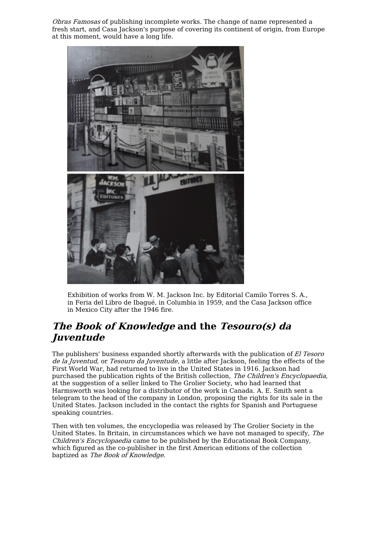Obras Famosas of publishing incomplete works. The change of name represented a fresh start, and Casa Jackson's purpose of covering its continent of origin, from Europe at this moment, would have a long life.



Exhibition of works from W. M. Jackson Inc. by Editorial Camilo Torres S. A., in Feria del Libro de Ibagué, in Columbia in 1959, and the Casa Jackson office in Mexico City after the 1946 fire.

# **The Book of Knowledge and the Tesouro(s) da Juventude**

The publishers' business expanded shortly afterwards with the publication of El Tesoro de la Juventud, or Tesouro da Juventude, a little after Jackson, feeling the effects of the First World War, had returned to live in the United States in 1916. Jackson had purchased the publication rights of the British collection, The Children's Encyclopaedia, at the suggestion of a seller linked to The Grolier Society, who had learned that Harmsworth was looking for a distributor of the work in Canada. A. E. Smith sent a telegram to the head of the company in London, proposing the rights for its sale in the United States. Jackson included in the contact the rights for Spanish and Portuguese speaking countries.

Then with ten volumes, the encyclopedia was released by The Grolier Society in the United States. In Britain, in circumstances which we have not managed to specify, The Children's Encyclopaedia came to be published by the Educational Book Company, which figured as the co-publisher in the first American editions of the collection baptized as The Book of Knowledge.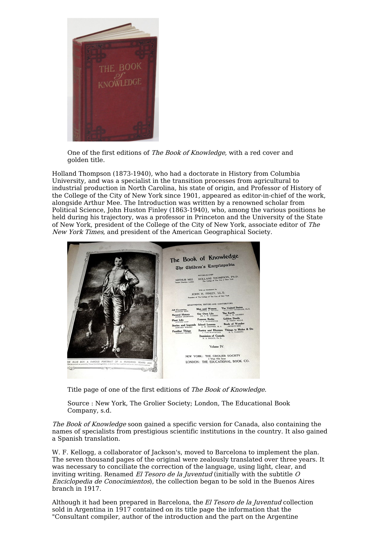

One of the first editions of The Book of Knowledge, with a red cover and golden title.

Holland Thompson (1873-1940), who had a doctorate in History from Columbia University, and was a specialist in the transition processes from agricultural to industrial production in North Carolina, his state of origin, and Professor of History of the College of the City of New York since 1901, appeared as editor-in-chief of the work, alongside Arthur Mee. The Introduction was written by a renowned scholar from Political Science, John Huston Finley (1863-1940), who, among the various positions he held during his trajectory, was a professor in Princeton and the University of the State of New York, president of the College of the City of New York, associate editor of The New York Times, and president of the American Geographical Society.



Title page of one of the first editions of The Book of Knowledge.

Source : New York, The Grolier Society; London, The Educational Book Company, s.d.

The Book of Knowledge soon gained a specific version for Canada, also containing the names of specialists from prestigious scientific institutions in the country. It also gained a Spanish translation.

W. F. Kellogg, a collaborator of Jackson's, moved to Barcelona to implement the plan. The seven thousand pages of the original were zealously translated over three years. It was necessary to conciliate the correction of the language, using light, clear, and inviting writing. Renamed El Tesoro de la Juventud (initially with the subtitle  $O$ Enciclopedia de Conocimientos), the collection began to be sold in the Buenos Aires branch in 1917.

Although it had been prepared in Barcelona, the El Tesoro de la Juventud collection sold in Argentina in 1917 contained on its title page the information that the "Consultant compiler, author of the introduction and the part on the Argentine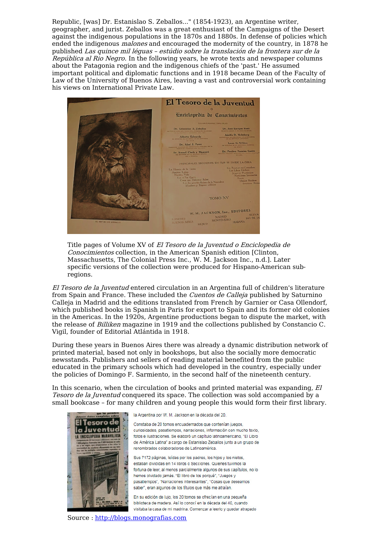Republic, [was] Dr. Estanislao S. Zeballos..." (1854-1923), an Argentine writer, geographer, and jurist. Zeballos was a great enthusiast of the Campaigns of the Desert against the indigenous populations in the 1870s and 1880s. In defense of policies which ended the indigenous malones and encouraged the modernity of the country, in 1878 he published Las quince mil léguas – estúdio sobre la translación de la frontera sur de la República al Rio Negro. In the following years, he wrote texts and newspaper columns about the Patagonia region and the indigenous chiefs of the 'past.' He assumed important political and diplomatic functions and in 1918 became Dean of the Faculty of Law of the University of Buenos Aires, leaving a vast and controversial work containing his views on International Private Law.



Title pages of Volume XV of El Tesoro de la Juventud <sup>o</sup> Enciclopedia de Conocimientos collection, in the American Spanish edition [Clinton, Massachusetts, The Colonial Press Inc., W. M. Jackson Inc., n.d.]. Later specific versions of the collection were produced for Hispano-American subregions.

El Tesoro de la Juventud entered circulation in an Argentina full of children's literature from Spain and France. These included the Cuentos de Calleja published by Saturnino Calleja in Madrid and the editions translated from French by Garnier or Casa Ollendorf, which published books in Spanish in Paris for export to Spain and its former old colonies in the Americas. In the 1920s, Argentine productions began to dispute the market, with the release of *Billiken* magazine in 1919 and the collections published by Constancio C. Vigil, founder of Editorial Atlántida in 1918.

During these years in Buenos Aires there was already a dynamic distribution network of printed material, based not only in bookshops, but also the socially more democratic newsstands. Publishers and sellers of reading material benefited from the public educated in the primary schools which had developed in the country, especially under the policies of Domingo F. Sarmiento, in the second half of the nineteenth century.

In this scenario, when the circulation of books and printed material was expanding, El Tesoro de la Juventud conquered its space. The collection was sold accompanied by a small bookcase – for many children and young people this would form their first library.



la Argentina por W. M. Jackson en la década del 20.

Constaba de 20 tomos encuadernados que contenían juegos curiosidades, pasatiempos, narraciones, información con mucho texto, fotos e ilustraciones. Se elaboró un capítulo latinoamericano, "El Libro de América Latina" a cargo de Estanislao Zeballos junto a un grupo de renombrados colaboradores de Latinoamérica

Sus 7172 páginas, leídas por los padres, los hijos y los nietos, estaban divididas en 14 libros o Secciones. Quienes tuvimos la fortuna de leer, al menos parcialmente algunos de sus capítulos, no lo hemos olvidado jamás. "El libro de los porqué", "Juegos y pasatiempos", "Narraciones interesantes", "Cosas que deseamos saber", eran algunos de los títulos que más me atraían.

En su edición de lujo, los 20 tomos se ofrecían en una pequeña biblioteca de madera. Así lo conocí en la década del 40, cuando visitaba la casa de mi madrina. Comenzar a leerlo y quedar atrapado

Source : [http://blogs.monografias.com](http://blogs.monografias.com/el-buenos-aires-que-se-fue/2011/08/25/el-tesoro-de-la-juventud/)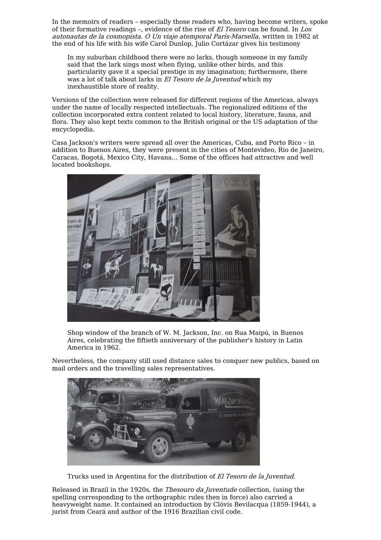In the memoirs of readers – especially those readers who, having become writers, spoke of their formative readings –, evidence of the rise of El Tesoro can be found. In Los autonautas de la cosmopista. O Un viaje atemporal París-Marsella, written in 1982 at the end of his life with his wife Carol Dunlop, Julio Cortázar gives his testimony

In my suburban childhood there were no larks, though someone in my family said that the lark sings most when flying, unlike other birds, and this particularity gave it a special prestige in my imagination; furthermore, there was a lot of talk about larks in El Tesoro de la Juventud which my inexhaustible store of reality.

Versions of the collection were released for different regions of the Americas, always under the name of locally respected intellectuals. The regionalized editions of the collection incorporated extra content related to local history, literature, fauna, and flora. They also kept texts common to the British original or the US adaptation of the encyclopedia.

Casa Jackson's writers were spread all over the Americas, Cuba, and Porto Rico – in addition to Buenos Aires, they were present in the cities of Montevideo, Rio de Janeiro, Caracas, Bogotá, Mexico City, Havana... Some of the offices had attractive and well located bookshops.



Shop window of the branch of W. M. Jackson, Inc. on Rua Maipú, in Buenos Aires, celebrating the fiftieth anniversary of the publisher's history in Latin America in 1962.

Nevertheless, the company still used distance sales to conquer new publics, based on mail orders and the travelling sales representatives.



Trucks used in Argentina for the distribution of El Tesoro de la Juventud.

Released in Brazil in the 1920s, the Thesouro da Juventude collection, (using the spelling corresponding to the orthographic rules then in force) also carried a heavyweight name. It contained an introduction by Clóvis Bevilacqua (1859-1944), a jurist from Ceará and author of the 1916 Brazilian civil code.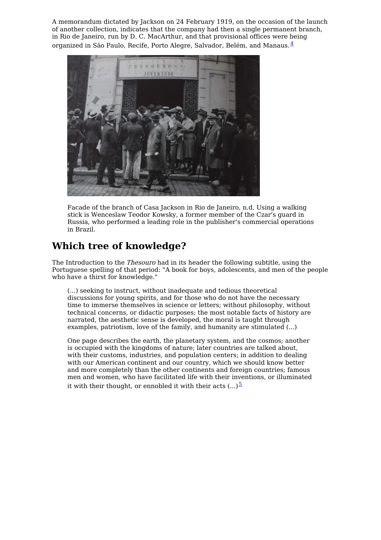A memorandum dictated by Jackson on 24 February 1919, on the occasion of the launch of another collection, indicates that the company had then a single permanent branch, in Rio de Janeiro, run by D. C. MacArthur, and that provisional offices were being organized in São Paulo, Recife, Porto Alegre, Salvador, Belém, and Manaus.[4](#page-10-3)



Facade of the branch of Casa Jackson in Rio de Janeiro, n.d. Using a walking stick is Wenceslaw Teodor Kowsky, a former member of the Czar's guard in Russia, who performed a leading role in the publisher's commercial operations in Brazil.

# **Which tree of knowledge?**

The Introduction to the Thesouro had in its header the following subtitle, using the Portuguese spelling of that period: "A book for boys, adolescents, and men of the people who have a thirst for knowledge."

(...) seeking to instruct, without inadequate and tedious theoretical discussions for young spirits, and for those who do not have the necessary time to immerse themselves in science or letters; without philosophy, without technical concerns, or didactic purposes; the most notable facts of history are narrated, the aesthetic sense is developed, the moral is taught through examples, patriotism, love of the family, and humanity are stimulated (...)

One page describes the earth, the planetary system, and the cosmos; another is occupied with the kingdoms of nature; later countries are talked about, with their customs, industries, and population centers; in addition to dealing with our American continent and our country, which we should know better and more completely than the other continents and foreign countries; famous men and women, who have facilitated life with their inventions, or illuminated it with their thought, or ennobled it with their acts  $(...)$ <sup>[5](#page-10-4)</sup>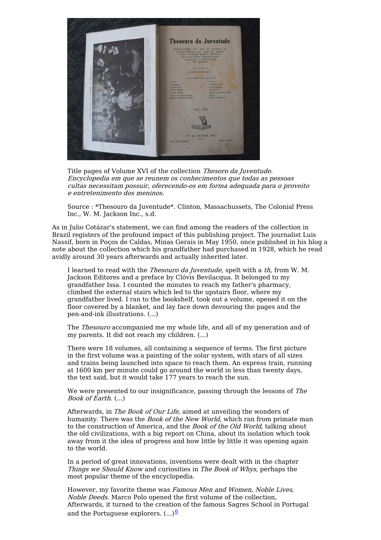

Title pages of Volume XVI of the collection Thesoro da Juventude. Encyclopedia em que se reunem os conhecimentos que todas as pessoas cultas necessitam possuir, oferecendo-os em forma adequada para <sup>o</sup> proveito <sup>e</sup> entretenimento dos meninos.

Source : \*Thesouro da Juventude\*. Clinton, Massachussets, The Colonial Press Inc., W. M. Jackson Inc., s.d.

As in Julio Cotázar's statement, we can find among the readers of the collection in Brazil registers of the profound impact of this publishing project. The journalist Luis Nassif, born in Poços de Caldas, Minas Gerais in May 1950, once published in his blog a note about the collection which his grandfather had purchased in 1928, which he read avidly around 30 years afterwards and actually inherited later.

I learned to read with the *Thesouro da Juventude*, spelt with a th, from W. M. Jackson Editores and a preface by Clóvis Bevilacqua. It belonged to my grandfather Issa. I counted the minutes to reach my father's pharmacy, climbed the external stairs which led to the upstairs floor, where my grandfather lived. I ran to the bookshelf, took out a volume, opened it on the floor covered by a blanket, and lay face down devouring the pages and the pen-and-ink illustrations. (...)

The *Thesouro* accompanied me my whole life, and all of my generation and of my parents. It did not reach my children. (...)

There were 18 volumes, all containing a sequence of terms. The first picture in the first volume was a painting of the solar system, with stars of all sizes and trains being launched into space to reach them. An express train, running at 1600 km per minute could go around the world in less than twenty days, the text said, but it would take 177 years to reach the sun.

We were presented to our insignificance, passing through the lessons of The Book of Earth. (...)

Afterwards, in The Book of Our Life, aimed at unveiling the wonders of humanity. There was the Book of the New World, which ran from primate man to the construction of America, and the Book of the Old World, talking about the old civilizations, with a big report on China, about its isolation which took away from it the idea of progress and how little by little it was opening again to the world.

In a period of great innovations, inventions were dealt with in the chapter Things we Should Know and curiosities in The Book of Whys, perhaps the most popular theme of the encyclopedia.

However, my favorite theme was Famous Men and Women, Noble Lives, Noble Deeds. Marco Polo opened the first volume of the collection, Afterwards, it turned to the creation of the famous Sagres School in Portugal and the Portuguese explorers.  $(...)^{\underline{6}}$  $(...)^{\underline{6}}$  $(...)^{\underline{6}}$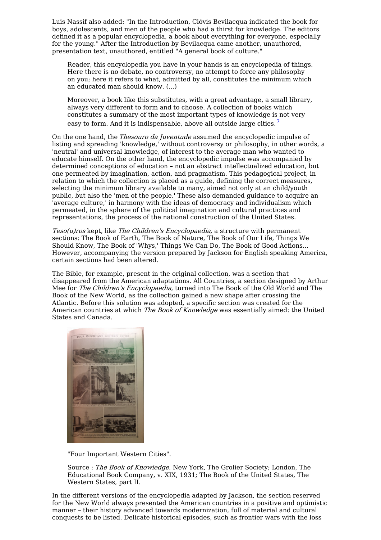Luis Nassif also added: "In the Introduction, Clóvis Bevilacqua indicated the book for boys, adolescents, and men of the people who had a thirst for knowledge. The editors defined it as a popular encyclopedia, a book about everything for everyone, especially for the young." After the Introduction by Bevilacqua came another, unauthored, presentation text, unauthored, entitled "A general book of culture."

Reader, this encyclopedia you have in your hands is an encyclopedia of things. Here there is no debate, no controversy, no attempt to force any philosophy on you; here it refers to what, admitted by all, constitutes the minimum which an educated man should know. (...)

Moreover, a book like this substitutes, with a great advantage, a small library, always very different to form and to choose. A collection of books which constitutes a summary of the most important types of knowledge is not very easy to form. And it is indispensable, above all outside large cities.  $\frac{7}{2}$  $\frac{7}{2}$  $\frac{7}{2}$ 

On the one hand, the Thesouro da Juventude assumed the encyclopedic impulse of listing and spreading 'knowledge,' without controversy or philosophy, in other words, a 'neutral' and universal knowledge, of interest to the average man who wanted to educate himself. On the other hand, the encyclopedic impulse was accompanied by determined conceptions of education – not an abstract intellectualized education, but one permeated by imagination, action, and pragmatism. This pedagogical project, in relation to which the collection is placed as a guide, defining the correct measures, selecting the minimum library available to many, aimed not only at an child/youth public, but also the 'men of the people.' These also demanded guidance to acquire an 'average culture,' in harmony with the ideas of democracy and individualism which permeated, in the sphere of the political imagination and cultural practices and representations, the process of the national construction of the United States.

Teso(u)ros kept, like The Children's Encyclopaedia, a structure with permanent sections: The Book of Earth, The Book of Nature, The Book of Our Life, Things We Should Know, The Book of 'Whys,' Things We Can Do, The Book of Good Actions... However, accompanying the version prepared by Jackson for English speaking America, certain sections had been altered.

The Bible, for example, present in the original collection, was a section that disappeared from the American adaptations. All Countries, a section designed by Arthur Mee for The Children's Encyclopaedia, turned into The Book of the Old World and The Book of the New World, as the collection gained a new shape after crossing the Atlantic. Before this solution was adopted, a specific section was created for the American countries at which The Book of Knowledge was essentially aimed: the United States and Canada.



"Four Important Western Cities".

Source : The Book of Knowledge. New York, The Grolier Society; London, The Educational Book Company, v. XIX, 1931; The Book of the United States, The Western States, part II.

In the different versions of the encyclopedia adapted by Jackson, the section reserved for the New World always presented the American countries in a positive and optimistic manner – their history advanced towards modernization, full of material and cultural conquests to be listed. Delicate historical episodes, such as frontier wars with the loss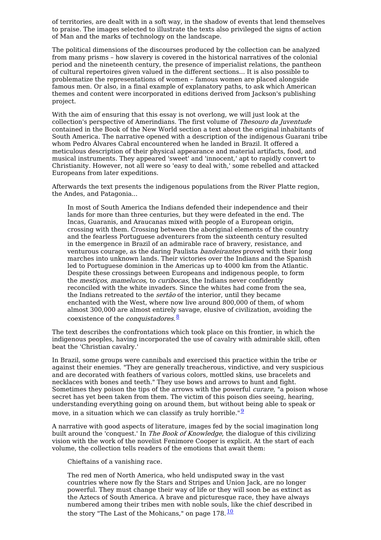of territories, are dealt with in a soft way, in the shadow of events that lend themselves to praise. The images selected to illustrate the texts also privileged the signs of action of Man and the marks of technology on the landscape.

The political dimensions of the discourses produced by the collection can be analyzed from many prisms – how slavery is covered in the historical narratives of the colonial period and the nineteenth century, the presence of imperialist relations, the pantheon of cultural repertoires given valued in the different sections... It is also possible to problematize the representations of women – famous women are placed alongside famous men. Or also, in a final example of explanatory paths, to ask which American themes and content were incorporated in editions derived from Jackson's publishing project.

With the aim of ensuring that this essay is not overlong, we will just look at the collection's perspective of Amerindians. The first volume of Thesouro da Juventude contained in the Book of the New World section a text about the original inhabitants of South America. The narrative opened with a description of the indigenous Guarani tribe whom Pedro Álvares Cabral encountered when he landed in Brazil. It offered a meticulous description of their physical appearance and material artifacts, food, and musical instruments. They appeared 'sweet' and 'innocent,' apt to rapidly convert to Christianity. However, not all were so 'easy to deal with,' some rebelled and attacked Europeans from later expeditions.

Afterwards the text presents the indigenous populations from the River Platte region, the Andes, and Patagonia...

In most of South America the Indians defended their independence and their lands for more than three centuries, but they were defeated in the end. The Incas, Guaranis, and Araucanas mixed with people of a European origin, crossing with them. Crossing between the aboriginal elements of the country and the fearless Portuguese adventurers from the sixteenth century resulted in the emergence in Brazil of an admirable race of bravery, resistance, and venturous courage, as the daring Paulista *bandeirantes* proved with their long marches into unknown lands. Their victories over the Indians and the Spanish led to Portuguese dominion in the Americas up to 4000 km from the Atlantic. Despite these crossings between Europeans and indigenous people, to form the *mesticos, mamelucos*, to *curibocas*, the Indians never confidently reconciled with the white invaders. Since the whites had come from the sea, the Indians retreated to the *sertão* of the interior, until they became enchanted with the West, where now live around 800,000 of them, of whom almost 300,000 are almost entirely savage, elusive of civilization, avoiding the coexistence of the *conquistadores*.<sup>[8](#page-10-7)</sup>

The text describes the confrontations which took place on this frontier, in which the indigenous peoples, having incorporated the use of cavalry with admirable skill, often beat the 'Christian cavalry.'

In Brazil, some groups were cannibals and exercised this practice within the tribe or against their enemies. "They are generally treacherous, vindictive, and very suspicious and are decorated with feathers of various colors, mottled skins, use bracelets and necklaces with bones and teeth." They use bows and arrows to hunt and fight. Sometimes they poison the tips of the arrows with the powerful *curare*, "a poison whose secret has yet been taken from them. The victim of this poison dies seeing, hearing, understanding everything going on around them, but without being able to speak or move, in a situation which we can classify as truly horrible." $\frac{9}{2}$  $\frac{9}{2}$  $\frac{9}{2}$ 

A narrative with good aspects of literature, images fed by the social imagination long built around the 'conquest.' In *The Book of Knowledge*, the dialogue of this civilizing vision with the work of the novelist Fenimore Cooper is explicit. At the start of each volume, the collection tells readers of the emotions that await them:

Chieftains of a vanishing race.

The red men of North America, who held undisputed sway in the vast countries where now fly the Stars and Stripes and Union Jack, are no longer powerful. They must change their way of life or they will soon be as extinct as the Aztecs of South America. A brave and picturesque race, they have always numbered among their tribes men with noble souls, like the chief described in the story "The Last of the Mohicans," on page  $178.\overline{10}$  $178.\overline{10}$  $178.\overline{10}$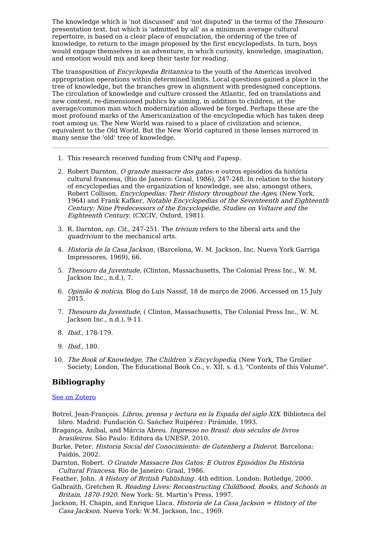The knowledge which is 'not discussed' and 'not disputed' in the terms of the Thesouro presentation text, but which is 'admitted by all' as a minimum average cultural repertoire, is based on a clear place of enunciation, the ordering of the tree of knowledge, to return to the image proposed by the first encyclopedists. In turn, boys would engage themselves in an adventure, in which curiosity, knowledge, imagination, and emotion would mix and keep their taste for reading.

The transposition of Encyclopedia Britannica to the youth of the Americas involved appropriation operations within determined limits. Local questions gained a place in the tree of knowledge, but the branches grew in alignment with predesigned conceptions. The circulation of knowledge and culture crossed the Atlantic, fed on translations and new content, re-dimensioned publics by aiming, in addition to children, at the average/common man which modernization allowed be forged. Perhaps these are the most profound marks of the Americanization of the encyclopedia which has taken deep root among us. The New World was raised to a place of civilization and science, equivalent to the Old World. But the New World captured in these lenses mirrored in many sense the 'old' tree of knowledge.

- <span id="page-10-0"></span>1. This research received funding from CNPq and Fapesp.
- <span id="page-10-1"></span>2. Robert Darnton, O grande massacre dos gatos: e outros episódios da história cultural francesa, (Rio de Janeiro: Graal, 1986), 247-248. In relation to the history of encyclopedias and the organization of knowledge, see also, amongst others, Robert Collison, Encyclopedias: Their History throughout the Ages, (New York, 1964) and Frank Kafker, Notable Encyclopedias of the Seventeenth and Eighteenth Century: Nine Predecessors of the Encyclopédie, Studies on Voltaire and the Eighteenth Century, (CXCIV, Oxford, 1981).
- <span id="page-10-2"></span>3. R. Darnton, op. Cit., 247-251. The trivium refers to the liberal arts and the quadrivium to the mechanical arts.
- <span id="page-10-3"></span>4. Historia de la Casa Jackson, (Barcelona, W. M. Jackson, Inc. Nueva York Garriga Impressores, 1969), 66.
- <span id="page-10-4"></span>5. Thesouro da Juventude, (Clinton, Massachusetts, The Colonial Press Inc., W. M. Jackson Inc., n.d.), 7.
- <span id="page-10-5"></span>6. Opinião & notícia, Blog do Luis Nassif, 18 de março de 2006. Accessed on 15 July 2015.
- <span id="page-10-6"></span>7. Thesouro da Juventude, ( Clinton, Massachusetts, The Colonial Press Inc., W. M. Jackson Inc., n.d.), 9-11.
- <span id="page-10-7"></span>8. Ibid., 178-179.
- <span id="page-10-8"></span>9. Ibid., 180.
- <span id="page-10-9"></span>10. The Book of Knowledge, The Children´s Encyclopedia, (New York, The Grolier Society; London, The Educational Book Co., v. XII, s. d.), "Contents of this Volume".

#### **Bibliography**

#### See on [Zotero](https://www.zotero.org/groups/1871378/transatlantic_cultures/tags/tracs-book-of-knowledge/library)

- Botrel, Jean-François. Libros, prensa y lectura en la España del siglo XIX. Biblioteca del libro. Madrid: Fundación G. Sańchez Ruipérez : Pirámide, 1993.
- Bragança, Aníbal, and Márcia Abreu. Impresso no Brasil: dois séculos de livros brasileiros. São Paulo: Editora da UNESP, 2010.
- Burke, Peter. Historia Social del Conocimiento: de Gutenberg <sup>a</sup> Diderot. Barcelona: Paidós, 2002.
- Darnton, Robert. O Grande Massacre Dos Gatos: E Outros Episódios Da História Cultural Francesa. Rio de Janeiro: Graal, 1986.
- Feather, John. A History of British Publishing. 4th edition. London: Rotledge, 2000.
- Galbraith, Gretchen R. Reading Lives: Reconstructing Childhood, Books, and Schools in Britain, 1870-1920. New York: St. Martin's Press, 1997.
- Jackson, H. Chapin, and Enrique Llaca. *Historia de La Casa Jackson = History of the* Casa Jackson. Nueva York: W.M. Jackson, Inc., 1969.